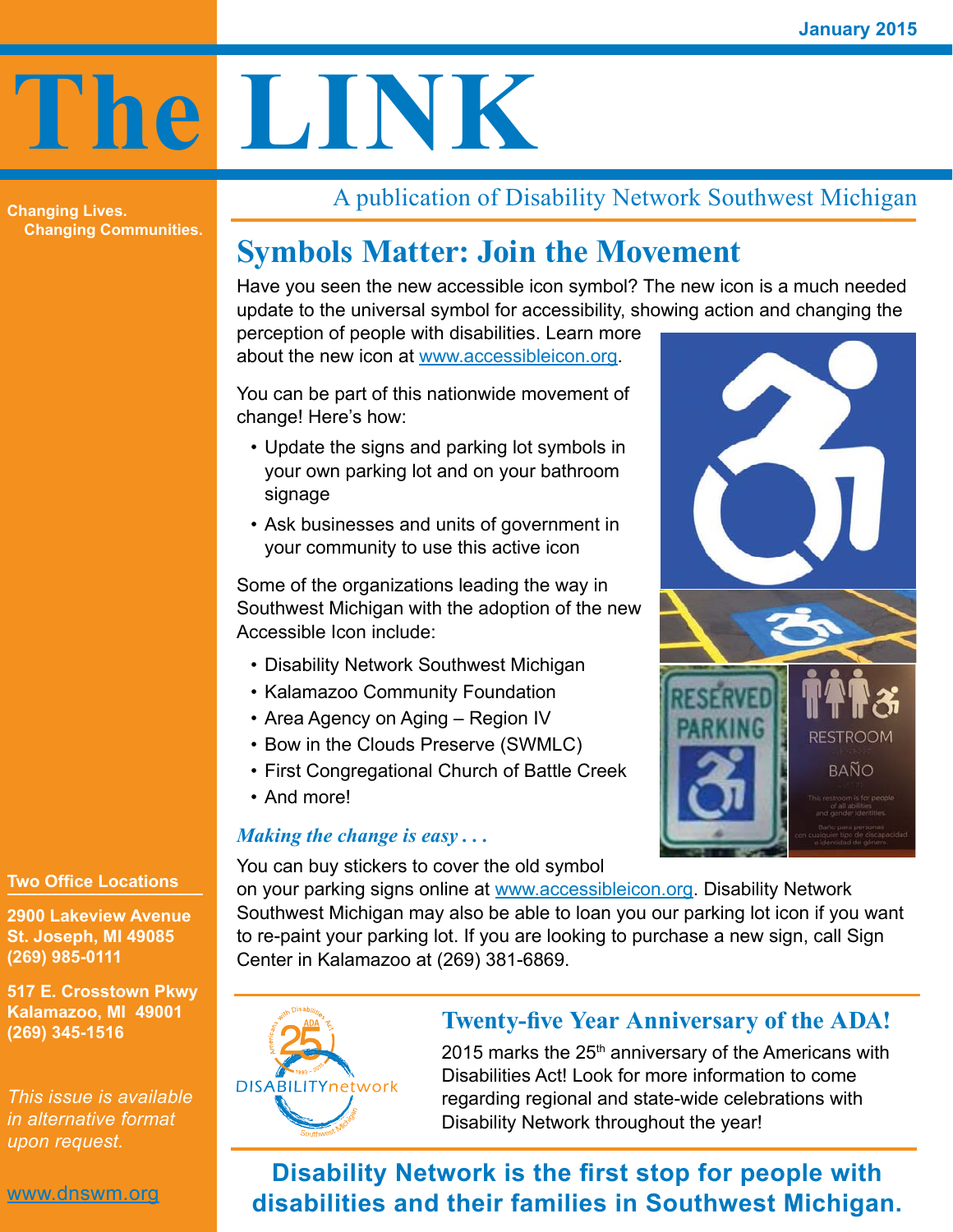# **The LINK**

**Changing Lives. Changing Communities.** A publication of Disability Network Southwest Michigan

## **Symbols Matter: Join the Movement**

Have you seen the new accessible icon symbol? The new icon is a much needed update to the universal symbol for accessibility, showing action and changing the perception of people with disabilities. Learn more

about the new icon at [www.accessibleicon.org.](http://www.accessibleicon.org/)

You can be part of this nationwide movement of change! Here's how:

- Update the signs and parking lot symbols in your own parking lot and on your bathroom signage
- Ask businesses and units of government in your community to use this active icon

Some of the organizations leading the way in Southwest Michigan with the adoption of the new Accessible Icon include:

- Disability Network Southwest Michigan
- • Kalamazoo Community Foundation
- Area Agency on Aging Region IV
- Bow in the Clouds Preserve (SWMLC)
- • First Congregational Church of Battle Creek
- And more!

#### *Making the change is easy . . .*

You can buy stickers to cover the old symbol

on your parking signs online at [www.accessibleicon.org.](www.accessibleicon.org) Disability Network Southwest Michigan may also be able to loan you our parking lot icon if you want to re-paint your parking lot. If you are looking to purchase a new sign, call Sign Center in Kalamazoo at (269) 381-6869.



#### **Twenty-five Year Anniversary of the ADA!**

2015 marks the  $25<sup>th</sup>$  anniversary of the Americans with Disabilities Act! Look for more information to come regarding regional and state-wide celebrations with Disability Network throughout the year!

**Disability Network is the first stop for people with disabilities and their families in Southwest Michigan.**

#### **Two Office Locations**

**2900 Lakeview Avenue St. Joseph, MI 49085 (269) 985-0111**

**517 E. Crosstown Pkwy Kalamazoo, MI 49001 (269) 345-1516**

*This issue is available in alternative format upon request.*

<www.dnswm.org>

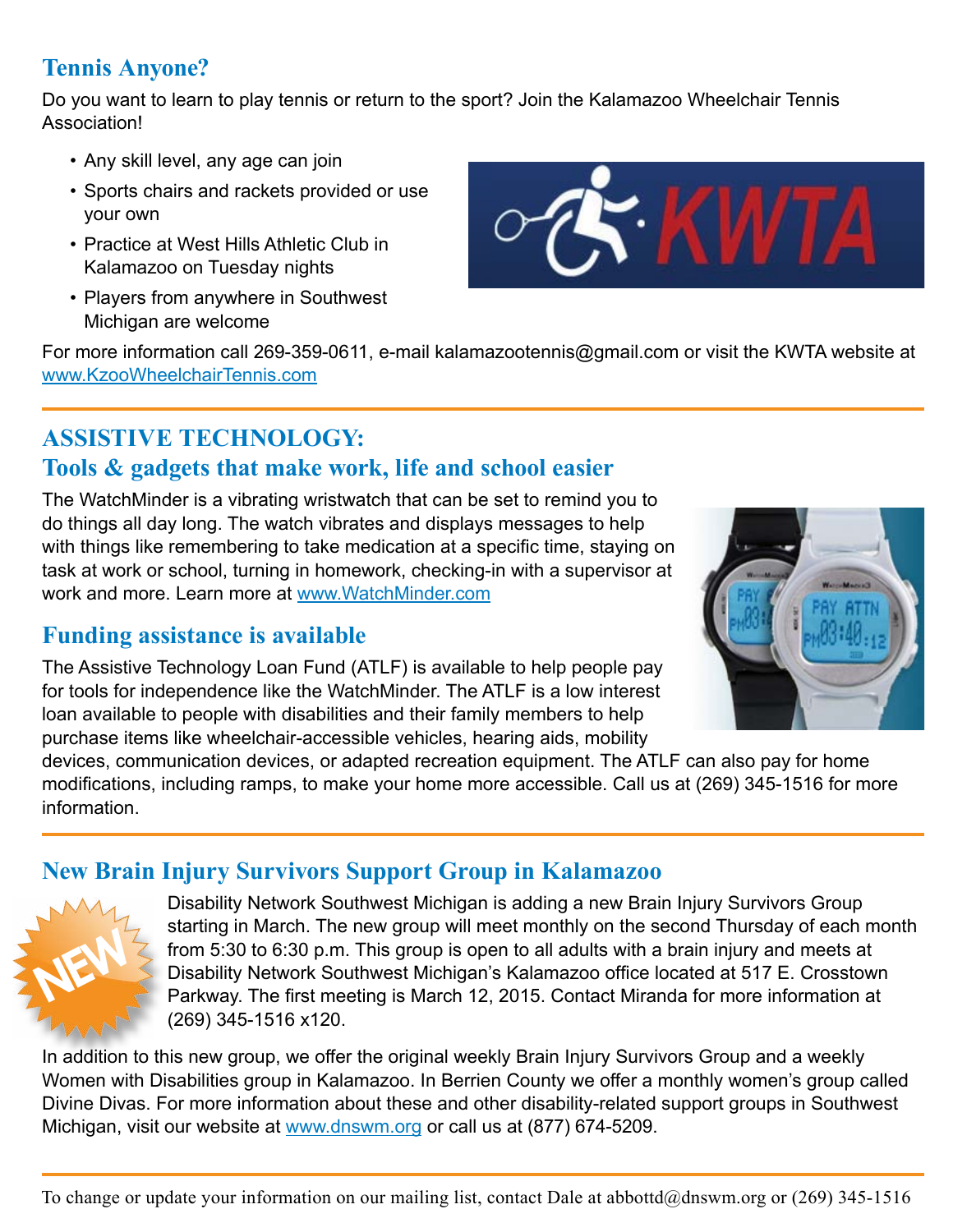#### **Tennis Anyone?**

Do you want to learn to play tennis or return to the sport? Join the Kalamazoo Wheelchair Tennis Association!

- Any skill level, any age can join
- • Sports chairs and rackets provided or use your own
- Practice at West Hills Athletic Club in Kalamazoo on Tuesday nights
- Players from anywhere in Southwest Michigan are welcome



For more information call 269-359-0611, e-mail kalamazootennis@gmail.com or visit the KWTA website at <www.KzooWheelchairTennis.com>

## **ASSISTIVE TECHNOLOGY:**

#### **Tools & gadgets that make work, life and school easier**

The WatchMinder is a vibrating wristwatch that can be set to remind you to do things all day long. The watch vibrates and displays messages to help with things like remembering to take medication at a specific time, staying on task at work or school, turning in homework, checking-in with a supervisor at work and more. Learn more at<www.WatchMinder.com>

#### **Funding assistance is available**

The Assistive Technology Loan Fund (ATLF) is available to help people pay for tools for independence like the WatchMinder. The ATLF is a low interest loan available to people with disabilities and their family members to help purchase items like wheelchair-accessible vehicles, hearing aids, mobility



devices, communication devices, or adapted recreation equipment. The ATLF can also pay for home modifications, including ramps, to make your home more accessible. Call us at (269) 345-1516 for more information.

#### **New Brain Injury Survivors Support Group in Kalamazoo**



Disability Network Southwest Michigan is adding a new Brain Injury Survivors Group starting in March. The new group will meet monthly on the second Thursday of each month from 5:30 to 6:30 p.m. This group is open to all adults with a brain injury and meets at Disability Network Southwest Michigan's Kalamazoo office located at 517 E. Crosstown Parkway. The first meeting is March 12, 2015. Contact Miranda for more information at (269) 345-1516 x120.

In addition to this new group, we offer the original weekly Brain Injury Survivors Group and a weekly Women with Disabilities group in Kalamazoo. In Berrien County we offer a monthly women's group called Divine Divas. For more information about these and other disability-related support groups in Southwest Michigan, visit our website at <www.dnswm.org> or call us at (877) 674-5209.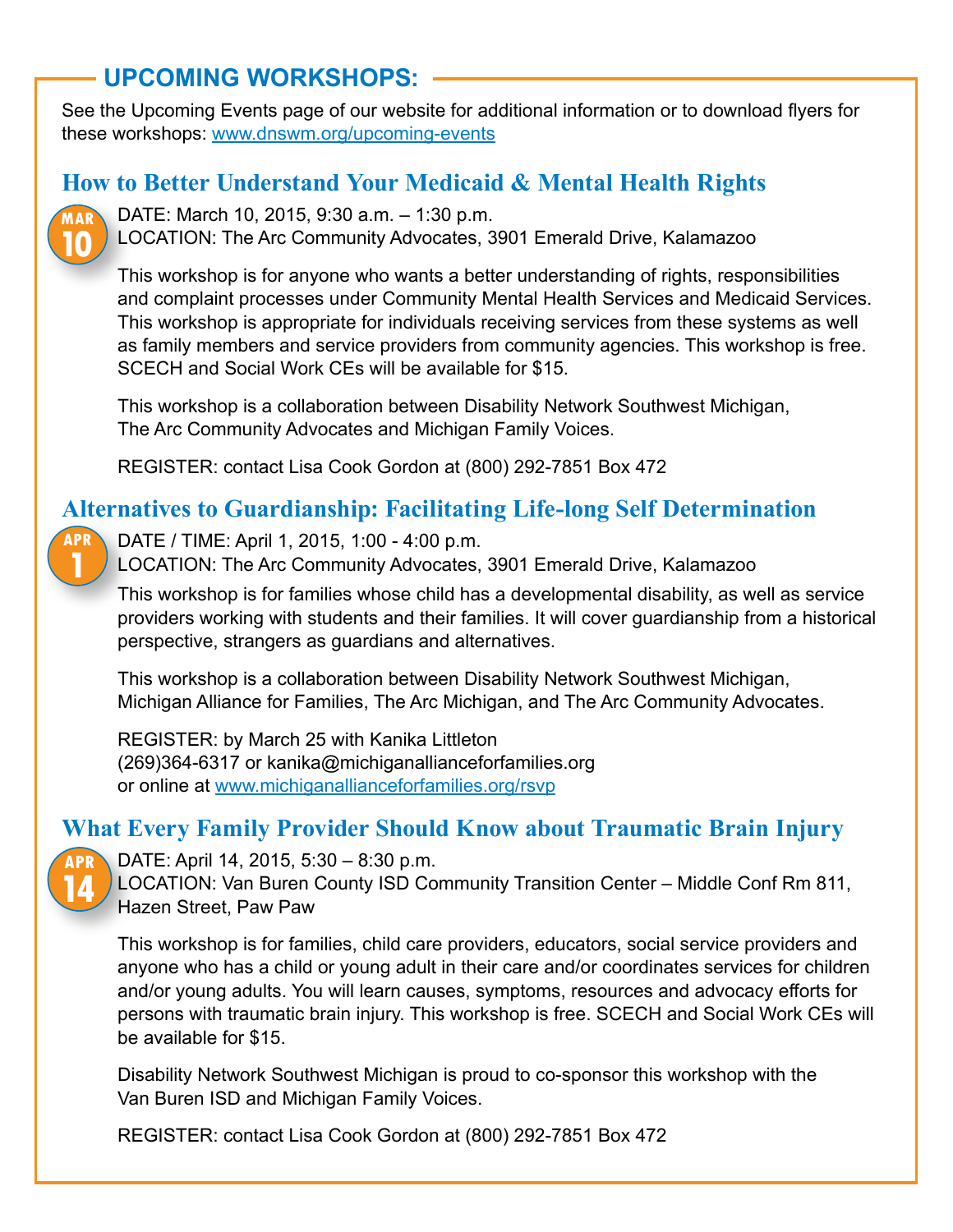### **UPCOMING WORKSHOPS:**

See the Upcoming Events page of our website for additional information or to download flyers for these workshops: [www.dnswm.org/upcoming](http://www.dnswm.org/upcoming-events)-events

#### **How to Better Understand Your Medicaid & Mental Health Rights**



DATE: March 10, 2015, 9:30 a.m. – 1:30 p.m.

LOCATION: The Arc Community Advocates, 3901 Emerald Drive, Kalamazoo

This workshop is for anyone who wants a better understanding of rights, responsibilities and complaint processes under Community Mental Health Services and Medicaid Services. This workshop is appropriate for individuals receiving services from these systems as well as family members and service providers from community agencies. This workshop is free. SCECH and Social Work CEs will be available for \$15.

This workshop is a collaboration between Disability Network Southwest Michigan, The Arc Community Advocates and Michigan Family Voices.

REGISTER: contact Lisa Cook Gordon at (800) 292-7851 Box 472

#### **Alternatives to Guardianship: Facilitating Life-long Self Determination**

DATE / TIME: April 1, 2015, 1:00 - 4:00 p.m. **APR 1**

LOCATION: The Arc Community Advocates, 3901 Emerald Drive, Kalamazoo

This workshop is for families whose child has a developmental disability, as well as service providers working with students and their families. It will cover guardianship from a historical perspective, strangers as guardians and alternatives.

This workshop is a collaboration between Disability Network Southwest Michigan, Michigan Alliance for Families, The Arc Michigan, and The Arc Community Advocates.

REGISTER: by March 25 with Kanika Littleton (269)364-6317 or [kanika@michiganallianceforfamilies.org](mailto:kanika@michiganallianceforfamilies.org) or online at<www.michiganallianceforfamilies.org/rsvp>

#### **What Every Family Provider Should Know about Traumatic Brain Injury**



DATE: April 14, 2015, 5:30 – 8:30 p.m.

LOCATION: Van Buren County ISD Community Transition Center – Middle Conf Rm 811, Hazen Street, Paw Paw

This workshop is for families, child care providers, educators, social service providers and anyone who has a child or young adult in their care and/or coordinates services for children and/or young adults. You will learn causes, symptoms, resources and advocacy efforts for persons with traumatic brain injury. This workshop is free. SCECH and Social Work CEs will be available for \$15.

Disability Network Southwest Michigan is proud to co-sponsor this workshop with the Van Buren ISD and Michigan Family Voices.

REGISTER: contact Lisa Cook Gordon at (800) 292-7851 Box 472